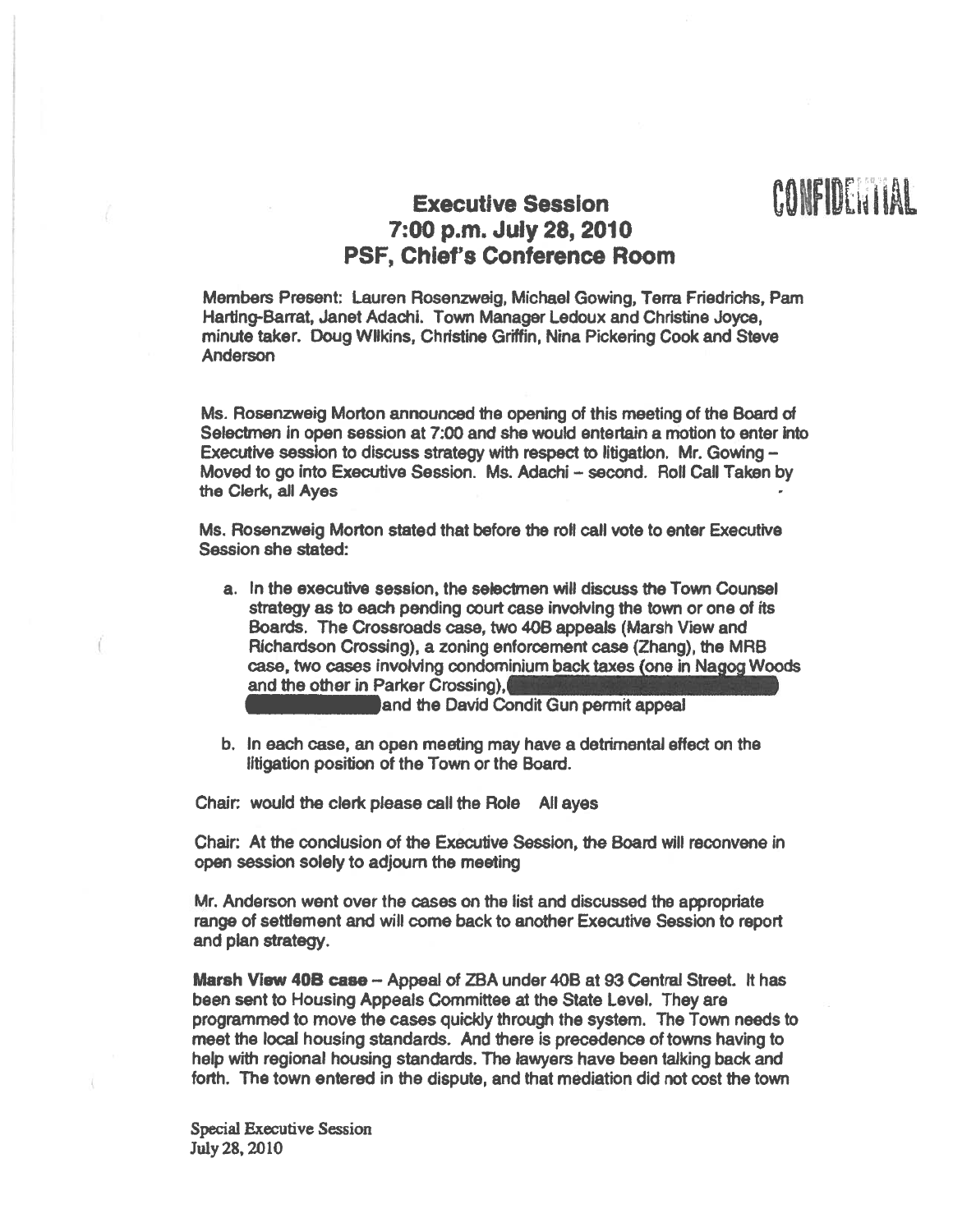## Executive Session<br>
7:00 p.m. July 28, 2010 PSF, Chief's Conference Room

Members Present: Lauren Rosenzweig, Michael Gowing, Terra Friedrichs, Pam Harting-Barrat, Janet Adachi, Town Manager Ledoux and Christine Joyce, minute taker. Doug Wilkins, Christine Griffin, Nina Pickering Cook and Steve Anderson

Ms. Rosenzweig Morton announced the opening of this meeting of the Board of Selectmen in open session at 7:00 and she would entertain <sup>a</sup> motion to enter into Executive session to discuss strategy with respec<sup>t</sup> to litigation. Mr. Gowing — Moved to go into Executive Session. Ms. Adachi - second. Roll Call Taken by the Clerk, all Ayes

Ms. Rosenzweig Morton stated that before the roll call vote to enter Executive Session she stated:

a. In the executive session, the selectmen will discuss the Town Counsel strategy as to each pending court case involving the town or one of its Boards, The Crossroads case, two 408 appeals (Marsh View and Richardson Crossing), <sup>a</sup> zoning enforcement case (Zhang), the MRB case, two cases involving condominium back taxes (one in Nagog Woods and the other in Parker Crossing),

and the David Condit Gun permit appeal

b. In each case, an open meeting may have <sup>a</sup> detrimental effect on the litigation position of the Town or the Board.

Chair: would the clerk please call the Role All ayes

Chair: At the conclusion of the Executive Session, the Board will reconvene in open session solely to adjourn the meeting

Mr. Anderson went over the cases on the list and discussed the appropriate range of settlement and will come back to another Executive Session to repor<sup>t</sup> and plan strategy.

Marsh View 40B case -- Appeal of ZBA under 40B at 93 Central Street. It has been sent to Housing Appeals Committee at the State Level. They are programmed to move the cases quickly through the system. The Town needs to meet the local housing standards. And there is precedence of towns having to help with regional housing standards. The lawyers have been talking back and forth. The town entered in the dispute, and that mediation did not cost the town

Special Executive Session July28, 2010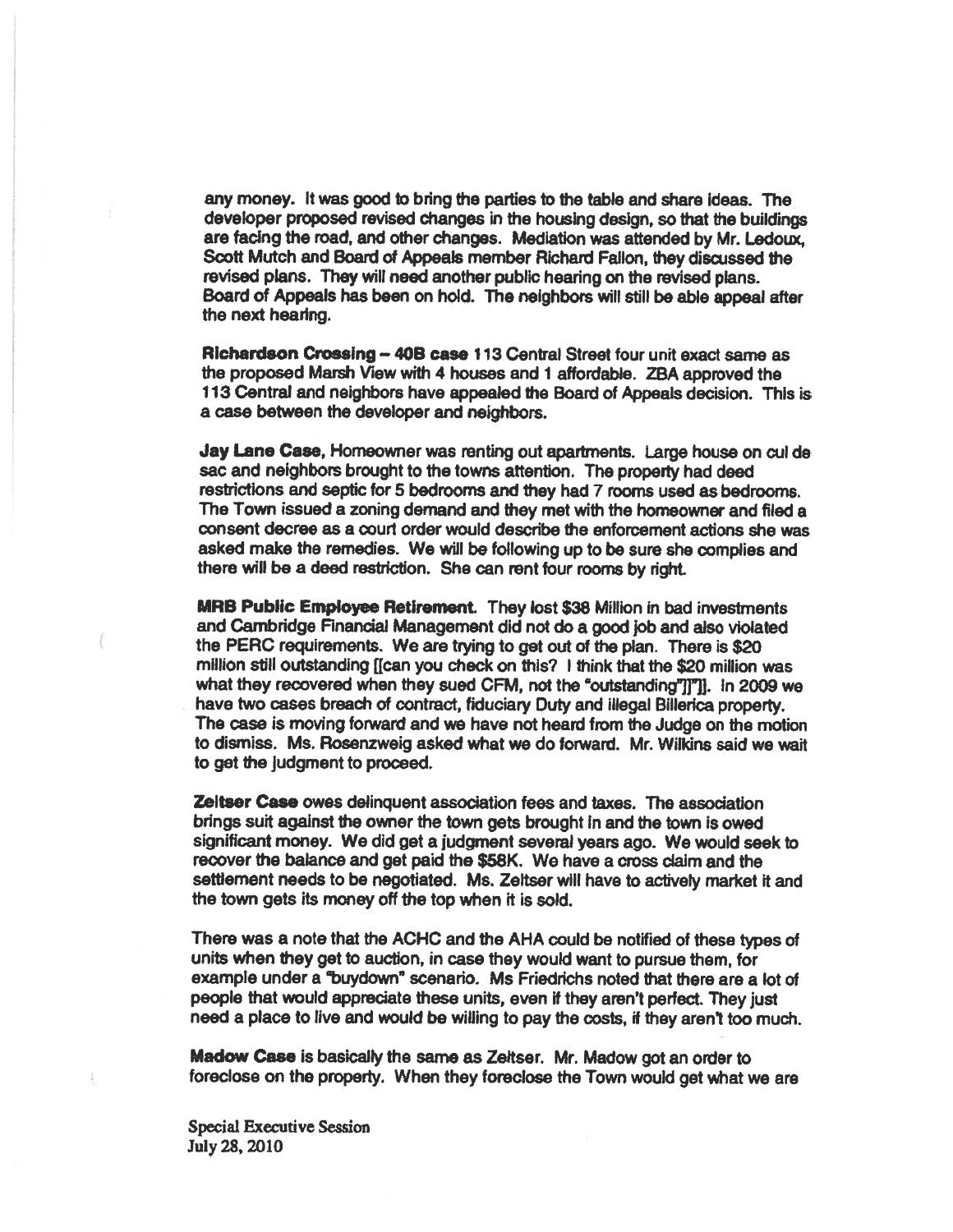any money. It was good to bring the parties to the table and share ideas. The developer proposed revised changes in the housing design, so that the buildings are facing the road, and other changes. Mediation was attended by Mr. Ledoux, Scott Mutch and Board of Appeals member Richard Fallon, they discussed the revised plans. They will need another public hearing on the revised plans. Board of Appeals has been on hold. The neighbors will still be able appeal after the next hearing.

Richardson Crossing — 408 case 113 Central Street four unit exact same as the propose<sup>d</sup> Marsh View with <sup>4</sup> houses and <sup>I</sup> affordable. ZBA approve<sup>d</sup> the 113 Central and neighbors have appealed the Board of Appeals decision. This is <sup>a</sup> case between the developer and neighbors.

Jay Lane Case, Homeowner was renting out apartments. Large house on cul de sac and neighbors brought to the towns attention. The property had deed restrictions and septic for 5 bedrooms and they had 7 rooms used as bedrooms. The Town issued <sup>a</sup> zoning demand and they met with the homeowner and filed <sup>a</sup> consent decree as <sup>a</sup> court order would describe the enforcement actions she was asked make the remedies. We will be following up to be sure she complies and there will be <sup>a</sup> deed restriction. She can rent four rooms by right.

MRS Public Employee Retirement. They lost \$38 Million in bad investments and Cambridge Financial Management did not do <sup>a</sup> good job and also violated the PERC requirements. We are trying to ge<sup>t</sup> out of the plan. There is \$20 million still outstanding [(can you check on this? I think that the \$20 million was what they recovered when they sued CFM, not the "outstanding"]]"]]. In 2009 we have two cases breach of contract, fiduciary Duty and illegal Billerica property. The case is moving forward and we have not heard from the Judge on the motion to dismiss. Ms. Rosenzweig asked what we do forward. Mr. Wilkins said we wait to ge<sup>t</sup> the judgment to proceed.

Zeitser Case owes delinquent association fees and taxes. The association brings suit against the owner the town gets brought in and the town is owed significant money. We did ge<sup>t</sup> <sup>a</sup> judgment several years ago. We would seek to recover the balance and ge<sup>t</sup> paid the \$58K. We have <sup>a</sup> cross claim and the settlement needs to be negotiated. Ms. Zeltser will have to actively market it and the town gets its money off the top when it is sold.

There was <sup>a</sup> note that the ACHC and the AHA could be notified of these types of units when they ge<sup>t</sup> to auction, in case they would want to pursue them, for example under a "buydown" scenario. Ms Friedrichs noted that there are a lot of people that would appreciate these units, even if they aren't perfect. They just need <sup>a</sup> <sup>p</sup>lace to live and would be willing to pay the costs, if they aren't too much.

Madow Case is basically the same as Zeltser. Mr. Madow got an order to foreclose on the property. When they foreclose the Town would ge<sup>t</sup> what we are

Special Executive Session July 28, 2010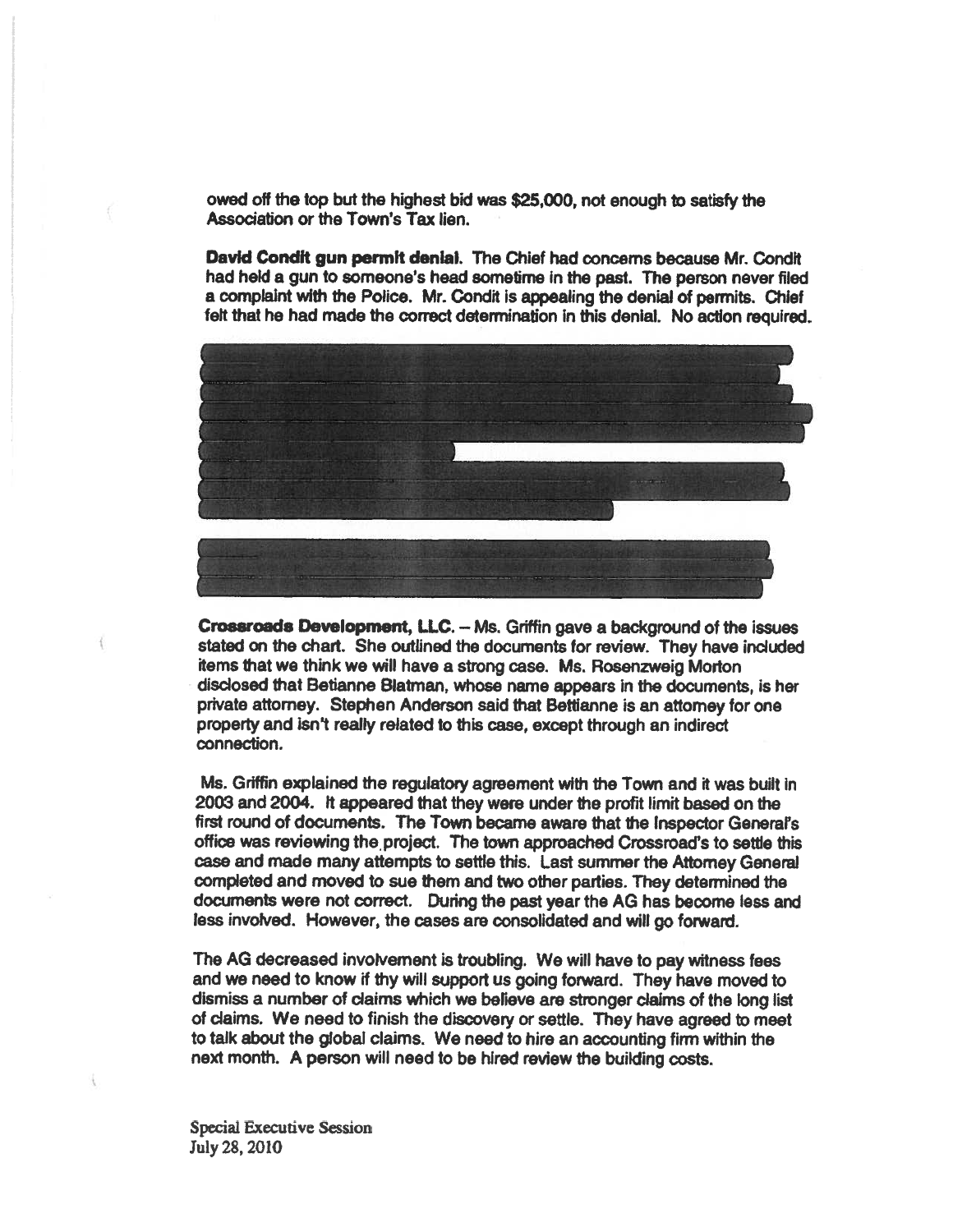owed off the top but the highest bid was \$25,000, not enough to satisfy the Association or the Town's Tax lien.

David Condit gun permit denial. The Chief had concerns because Mr. Condit had held <sup>a</sup> gun to someone's head sometime in the past. The person never filed <sup>a</sup> complaint with the Police. Mr. Condit is appealing the denial of permits. Chief felt that he had made the correct determination in this denial. No action required.



Crossroads Development, tiC. — Ms. Griffin gave <sup>a</sup> background of the issues stated on the chart. She outlined the documents for review. They have included items that we think we will have <sup>a</sup> strong case. Ms, Rosenzweig Morton disclosed that Betianne Blatman, whose name appears in the documents, is her private attorney. Stephen Anderson said that Bettianne is an attorney for one property and isn't really related to this case, excep<sup>t</sup> through an indirect connection.

Ms. Griffin explained the regulatory agreemen<sup>t</sup> with the Town and it was built in 2003 and 2004. It appeared that they were under the profit limit based on the first round of documents. The Town became aware that the Inspector General's office was reviewing the project. The town approached Crossroad's to settle this case and made many attempts to settle this. Last summer the Attorney General completed and moved to sue them and two other parties. They determined the documents were not correct. During the past year the AG has become less and less involved. However, the cases are consolidated and will go forward.

The AG decreased involvement is troubling. We will have to pay witness fees and we need to know if thy will suppor<sup>t</sup> us going forward. They have moved to dismiss <sup>a</sup> number of claims which we beheve are stronger claims of the long list of claims. We need to finish the discovery or settle. They have agree<sup>d</sup> to meet to talk about the global claims. We need to hire an accounting firm within the next month. A person will need to be hired review the building costs.

Special Executive Session July 28, 2010